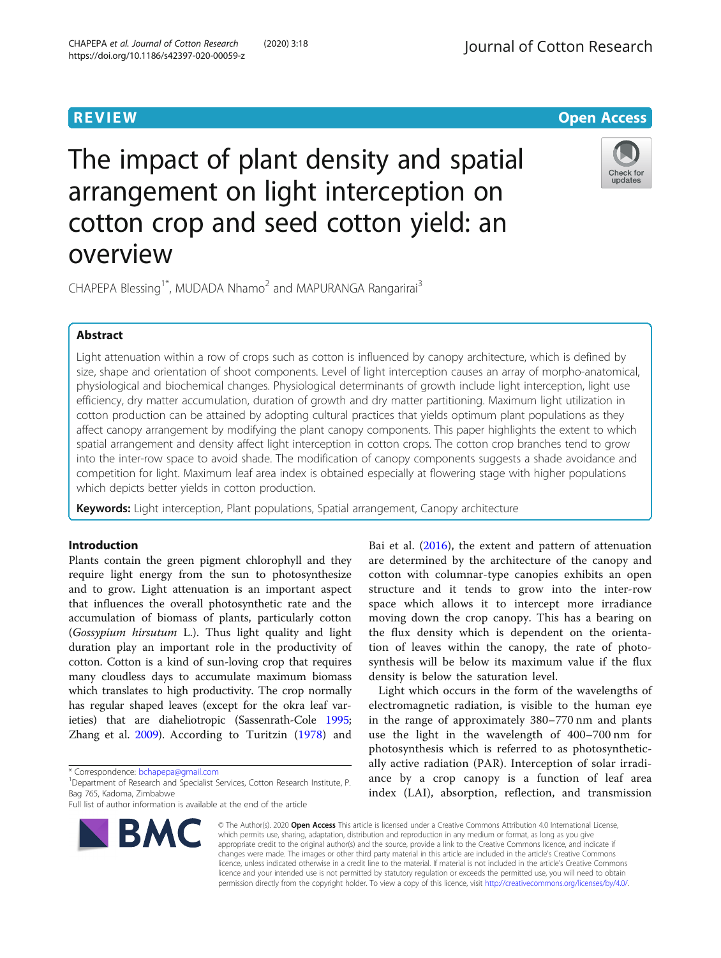## **REVIEW CONTROL** CONTROL CONTROL CONTROL CONTROL CONTROL CONTROL CONTROL CONTROL CONTROL CONTROL CONTROL CONTROL

# The impact of plant density and spatial arrangement on light interception on cotton crop and seed cotton yield: an overview



CHAPEPA Blessing<sup>1\*</sup>, MUDADA Nhamo<sup>2</sup> and MAPURANGA Rangarirai<sup>3</sup>

## Abstract

Light attenuation within a row of crops such as cotton is influenced by canopy architecture, which is defined by size, shape and orientation of shoot components. Level of light interception causes an array of morpho-anatomical, physiological and biochemical changes. Physiological determinants of growth include light interception, light use efficiency, dry matter accumulation, duration of growth and dry matter partitioning. Maximum light utilization in cotton production can be attained by adopting cultural practices that yields optimum plant populations as they affect canopy arrangement by modifying the plant canopy components. This paper highlights the extent to which spatial arrangement and density affect light interception in cotton crops. The cotton crop branches tend to grow into the inter-row space to avoid shade. The modification of canopy components suggests a shade avoidance and competition for light. Maximum leaf area index is obtained especially at flowering stage with higher populations which depicts better yields in cotton production.

Keywords: Light interception, Plant populations, Spatial arrangement, Canopy architecture

## Introduction

Plants contain the green pigment chlorophyll and they require light energy from the sun to photosynthesize and to grow. Light attenuation is an important aspect that influences the overall photosynthetic rate and the accumulation of biomass of plants, particularly cotton (Gossypium hirsutum L.). Thus light quality and light duration play an important role in the productivity of cotton. Cotton is a kind of sun-loving crop that requires many cloudless days to accumulate maximum biomass which translates to high productivity. The crop normally has regular shaped leaves (except for the okra leaf varieties) that are diaheliotropic (Sassenrath-Cole [1995](#page-5-0); Zhang et al. [2009\)](#page-5-0). According to Turitzin [\(1978](#page-5-0)) and

\* Correspondence: [bchapepa@gmail.com](mailto:bchapepa@gmail.com) <sup>1</sup>

Full list of author information is available at the end of the article



Bai et al. ([2016\)](#page-4-0), the extent and pattern of attenuation are determined by the architecture of the canopy and cotton with columnar-type canopies exhibits an open structure and it tends to grow into the inter-row space which allows it to intercept more irradiance moving down the crop canopy. This has a bearing on the flux density which is dependent on the orientation of leaves within the canopy, the rate of photosynthesis will be below its maximum value if the flux density is below the saturation level.

Light which occurs in the form of the wavelengths of electromagnetic radiation, is visible to the human eye in the range of approximately 380–770 nm and plants use the light in the wavelength of 400–700 nm for photosynthesis which is referred to as photosynthetically active radiation (PAR). Interception of solar irradiance by a crop canopy is a function of leaf area index (LAI), absorption, reflection, and transmission

© The Author(s). 2020 Open Access This article is licensed under a Creative Commons Attribution 4.0 International License, which permits use, sharing, adaptation, distribution and reproduction in any medium or format, as long as you give appropriate credit to the original author(s) and the source, provide a link to the Creative Commons licence, and indicate if changes were made. The images or other third party material in this article are included in the article's Creative Commons licence, unless indicated otherwise in a credit line to the material. If material is not included in the article's Creative Commons licence and your intended use is not permitted by statutory regulation or exceeds the permitted use, you will need to obtain permission directly from the copyright holder. To view a copy of this licence, visit [http://creativecommons.org/licenses/by/4.0/.](http://creativecommons.org/licenses/by/4.0/)

<sup>&</sup>lt;sup>1</sup> Department of Research and Specialist Services, Cotton Research Institute, P. Bag 765, Kadoma, Zimbabwe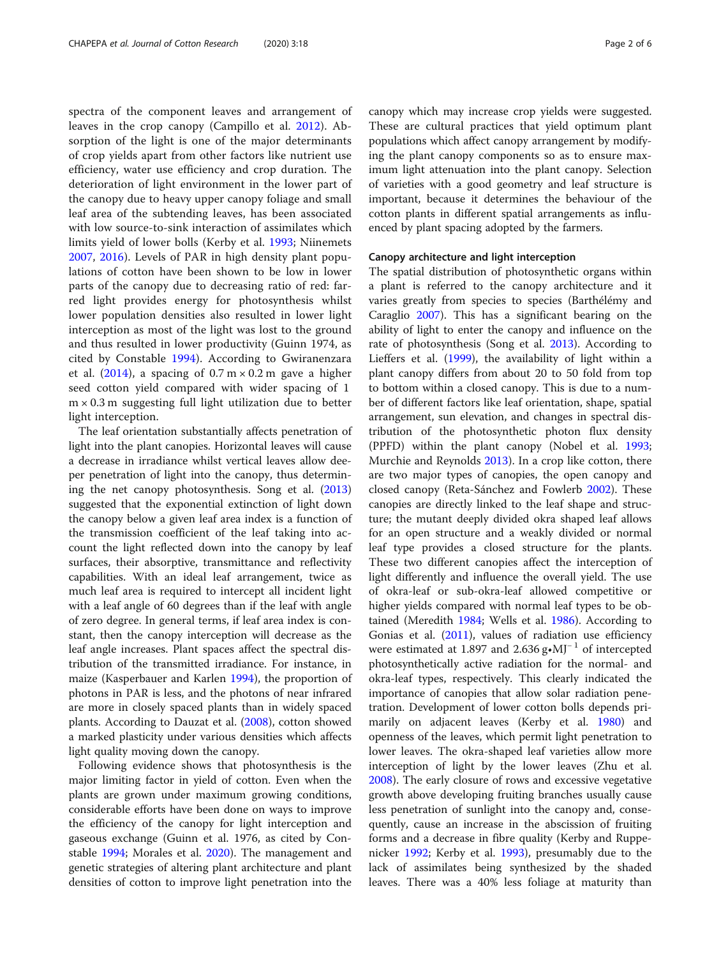spectra of the component leaves and arrangement of leaves in the crop canopy (Campillo et al. [2012\)](#page-4-0). Absorption of the light is one of the major determinants of crop yields apart from other factors like nutrient use efficiency, water use efficiency and crop duration. The deterioration of light environment in the lower part of the canopy due to heavy upper canopy foliage and small leaf area of the subtending leaves, has been associated with low source-to-sink interaction of assimilates which limits yield of lower bolls (Kerby et al. [1993](#page-5-0); Niinemets [2007,](#page-5-0) [2016](#page-5-0)). Levels of PAR in high density plant populations of cotton have been shown to be low in lower parts of the canopy due to decreasing ratio of red: farred light provides energy for photosynthesis whilst lower population densities also resulted in lower light interception as most of the light was lost to the ground and thus resulted in lower productivity (Guinn 1974, as cited by Constable [1994\)](#page-4-0). According to Gwiranenzara et al. ([2014](#page-5-0)), a spacing of  $0.7 \text{ m} \times 0.2 \text{ m}$  gave a higher seed cotton yield compared with wider spacing of 1  $m \times 0.3$  m suggesting full light utilization due to better light interception.

The leaf orientation substantially affects penetration of light into the plant canopies. Horizontal leaves will cause a decrease in irradiance whilst vertical leaves allow deeper penetration of light into the canopy, thus determining the net canopy photosynthesis. Song et al. ([2013](#page-5-0)) suggested that the exponential extinction of light down the canopy below a given leaf area index is a function of the transmission coefficient of the leaf taking into account the light reflected down into the canopy by leaf surfaces, their absorptive, transmittance and reflectivity capabilities. With an ideal leaf arrangement, twice as much leaf area is required to intercept all incident light with a leaf angle of 60 degrees than if the leaf with angle of zero degree. In general terms, if leaf area index is constant, then the canopy interception will decrease as the leaf angle increases. Plant spaces affect the spectral distribution of the transmitted irradiance. For instance, in maize (Kasperbauer and Karlen [1994\)](#page-5-0), the proportion of photons in PAR is less, and the photons of near infrared are more in closely spaced plants than in widely spaced plants. According to Dauzat et al. [\(2008\)](#page-4-0), cotton showed a marked plasticity under various densities which affects light quality moving down the canopy.

Following evidence shows that photosynthesis is the major limiting factor in yield of cotton. Even when the plants are grown under maximum growing conditions, considerable efforts have been done on ways to improve the efficiency of the canopy for light interception and gaseous exchange (Guinn et al. 1976, as cited by Constable [1994;](#page-4-0) Morales et al. [2020\)](#page-5-0). The management and genetic strategies of altering plant architecture and plant densities of cotton to improve light penetration into the

canopy which may increase crop yields were suggested. These are cultural practices that yield optimum plant populations which affect canopy arrangement by modifying the plant canopy components so as to ensure maximum light attenuation into the plant canopy. Selection of varieties with a good geometry and leaf structure is important, because it determines the behaviour of the cotton plants in different spatial arrangements as influenced by plant spacing adopted by the farmers.

#### Canopy architecture and light interception

The spatial distribution of photosynthetic organs within a plant is referred to the canopy architecture and it varies greatly from species to species (Barthélémy and Caraglio [2007\)](#page-4-0). This has a significant bearing on the ability of light to enter the canopy and influence on the rate of photosynthesis (Song et al. [2013](#page-5-0)). According to Lieffers et al. [\(1999\)](#page-5-0), the availability of light within a plant canopy differs from about 20 to 50 fold from top to bottom within a closed canopy. This is due to a number of different factors like leaf orientation, shape, spatial arrangement, sun elevation, and changes in spectral distribution of the photosynthetic photon flux density (PPFD) within the plant canopy (Nobel et al. [1993](#page-5-0); Murchie and Reynolds [2013\)](#page-5-0). In a crop like cotton, there are two major types of canopies, the open canopy and closed canopy (Reta-Sánchez and Fowlerb [2002\)](#page-5-0). These canopies are directly linked to the leaf shape and structure; the mutant deeply divided okra shaped leaf allows for an open structure and a weakly divided or normal leaf type provides a closed structure for the plants. These two different canopies affect the interception of light differently and influence the overall yield. The use of okra-leaf or sub-okra-leaf allowed competitive or higher yields compared with normal leaf types to be ob-tained (Meredith [1984](#page-5-0); Wells et al. [1986\)](#page-5-0). According to Gonias et al. ([2011](#page-4-0)), values of radiation use efficiency were estimated at 1.897 and 2.636  $g \cdot MJ^{-1}$  of intercepted photosynthetically active radiation for the normal- and okra-leaf types, respectively. This clearly indicated the importance of canopies that allow solar radiation penetration. Development of lower cotton bolls depends primarily on adjacent leaves (Kerby et al. [1980](#page-5-0)) and openness of the leaves, which permit light penetration to lower leaves. The okra-shaped leaf varieties allow more interception of light by the lower leaves (Zhu et al. [2008](#page-5-0)). The early closure of rows and excessive vegetative growth above developing fruiting branches usually cause less penetration of sunlight into the canopy and, consequently, cause an increase in the abscission of fruiting forms and a decrease in fibre quality (Kerby and Ruppenicker [1992;](#page-5-0) Kerby et al. [1993](#page-5-0)), presumably due to the lack of assimilates being synthesized by the shaded leaves. There was a 40% less foliage at maturity than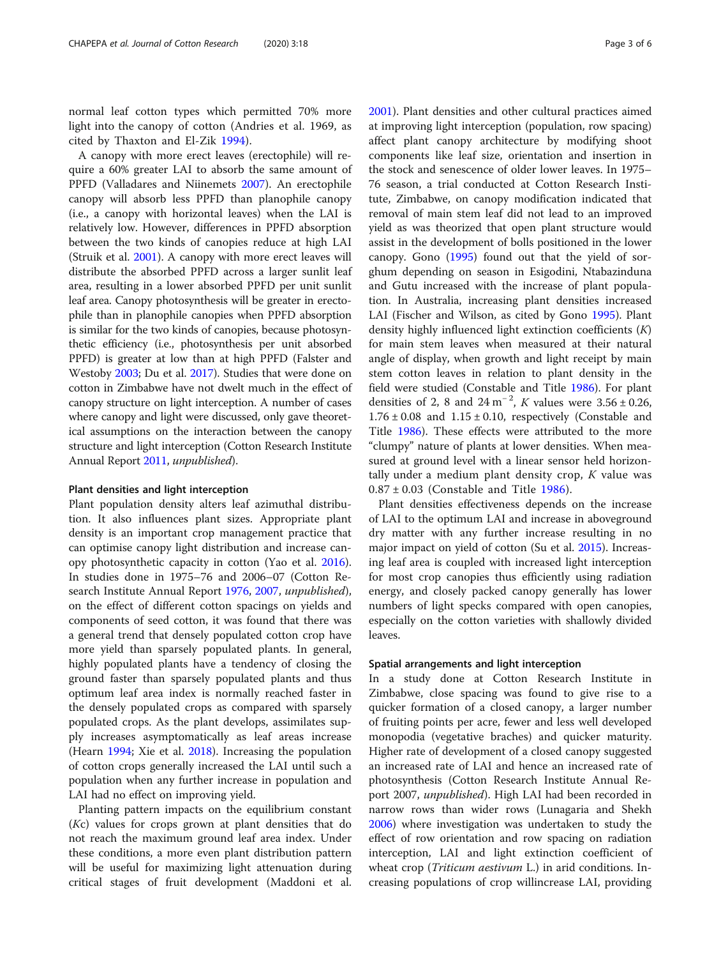normal leaf cotton types which permitted 70% more light into the canopy of cotton (Andries et al. 1969, as cited by Thaxton and El-Zik [1994\)](#page-5-0).

A canopy with more erect leaves (erectophile) will require a 60% greater LAI to absorb the same amount of PPFD (Valladares and Niinemets [2007](#page-5-0)). An erectophile canopy will absorb less PPFD than planophile canopy (i.e., a canopy with horizontal leaves) when the LAI is relatively low. However, differences in PPFD absorption between the two kinds of canopies reduce at high LAI (Struik et al. [2001\)](#page-5-0). A canopy with more erect leaves will distribute the absorbed PPFD across a larger sunlit leaf area, resulting in a lower absorbed PPFD per unit sunlit leaf area. Canopy photosynthesis will be greater in erectophile than in planophile canopies when PPFD absorption is similar for the two kinds of canopies, because photosynthetic efficiency (i.e., photosynthesis per unit absorbed PPFD) is greater at low than at high PPFD (Falster and Westoby [2003](#page-4-0); Du et al. [2017](#page-4-0)). Studies that were done on cotton in Zimbabwe have not dwelt much in the effect of canopy structure on light interception. A number of cases where canopy and light were discussed, only gave theoretical assumptions on the interaction between the canopy structure and light interception (Cotton Research Institute Annual Report [2011,](#page-4-0) unpublished).

#### Plant densities and light interception

Plant population density alters leaf azimuthal distribution. It also influences plant sizes. Appropriate plant density is an important crop management practice that can optimise canopy light distribution and increase canopy photosynthetic capacity in cotton (Yao et al. [2016](#page-5-0)). In studies done in 1975–76 and 2006–07 (Cotton Research Institute Annual Report [1976,](#page-4-0) [2007](#page-4-0), unpublished), on the effect of different cotton spacings on yields and components of seed cotton, it was found that there was a general trend that densely populated cotton crop have more yield than sparsely populated plants. In general, highly populated plants have a tendency of closing the ground faster than sparsely populated plants and thus optimum leaf area index is normally reached faster in the densely populated crops as compared with sparsely populated crops. As the plant develops, assimilates supply increases asymptomatically as leaf areas increase (Hearn [1994;](#page-5-0) Xie et al. [2018](#page-5-0)). Increasing the population of cotton crops generally increased the LAI until such a population when any further increase in population and LAI had no effect on improving yield.

Planting pattern impacts on the equilibrium constant (Kc) values for crops grown at plant densities that do not reach the maximum ground leaf area index. Under these conditions, a more even plant distribution pattern will be useful for maximizing light attenuation during critical stages of fruit development (Maddoni et al. [2001](#page-5-0)). Plant densities and other cultural practices aimed at improving light interception (population, row spacing) affect plant canopy architecture by modifying shoot components like leaf size, orientation and insertion in the stock and senescence of older lower leaves. In 1975– 76 season, a trial conducted at Cotton Research Institute, Zimbabwe, on canopy modification indicated that removal of main stem leaf did not lead to an improved yield as was theorized that open plant structure would assist in the development of bolls positioned in the lower canopy. Gono ([1995](#page-4-0)) found out that the yield of sorghum depending on season in Esigodini, Ntabazinduna and Gutu increased with the increase of plant population. In Australia, increasing plant densities increased LAI (Fischer and Wilson, as cited by Gono [1995\)](#page-4-0). Plant density highly influenced light extinction coefficients (K) for main stem leaves when measured at their natural angle of display, when growth and light receipt by main stem cotton leaves in relation to plant density in the field were studied (Constable and Title [1986](#page-4-0)). For plant densities of 2, 8 and  $24 \text{ m}^{-2}$ , *K* values were  $3.56 \pm 0.26$ ,  $1.76 \pm 0.08$  and  $1.15 \pm 0.10$ , respectively (Constable and Title [1986](#page-4-0)). These effects were attributed to the more "clumpy" nature of plants at lower densities. When measured at ground level with a linear sensor held horizontally under a medium plant density crop,  $K$  value was  $0.87 \pm 0.03$  (Constable and Title [1986](#page-4-0)).

Plant densities effectiveness depends on the increase of LAI to the optimum LAI and increase in aboveground dry matter with any further increase resulting in no major impact on yield of cotton (Su et al. [2015](#page-5-0)). Increasing leaf area is coupled with increased light interception for most crop canopies thus efficiently using radiation energy, and closely packed canopy generally has lower numbers of light specks compared with open canopies, especially on the cotton varieties with shallowly divided leaves.

#### Spatial arrangements and light interception

In a study done at Cotton Research Institute in Zimbabwe, close spacing was found to give rise to a quicker formation of a closed canopy, a larger number of fruiting points per acre, fewer and less well developed monopodia (vegetative braches) and quicker maturity. Higher rate of development of a closed canopy suggested an increased rate of LAI and hence an increased rate of photosynthesis (Cotton Research Institute Annual Report 2007, unpublished). High LAI had been recorded in narrow rows than wider rows (Lunagaria and Shekh [2006](#page-5-0)) where investigation was undertaken to study the effect of row orientation and row spacing on radiation interception, LAI and light extinction coefficient of wheat crop (*Triticum aestivum L*.) in arid conditions. Increasing populations of crop willincrease LAI, providing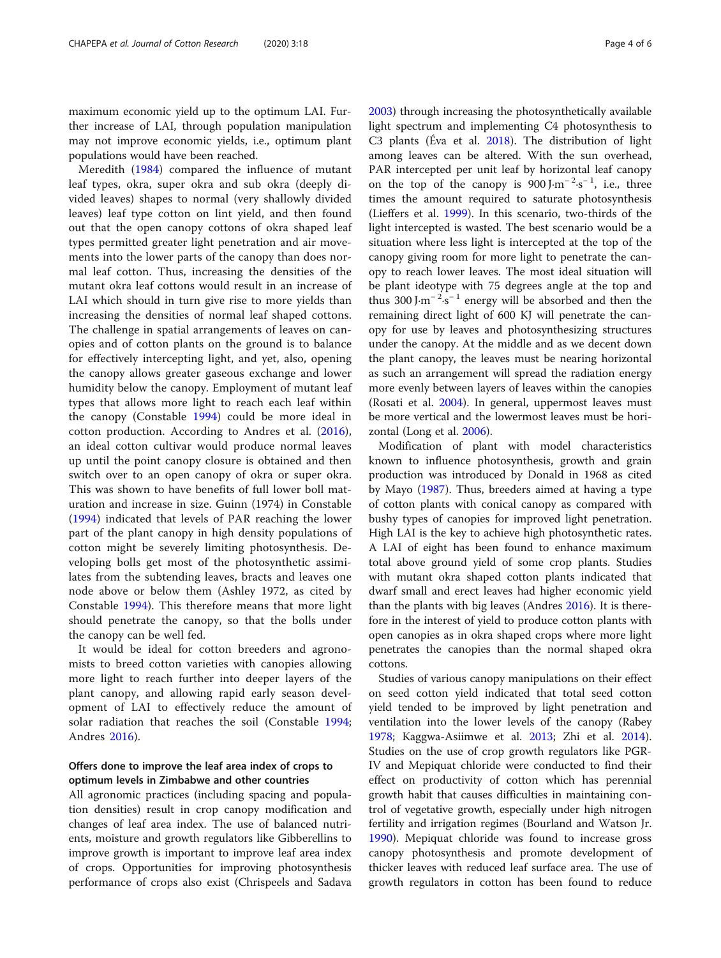maximum economic yield up to the optimum LAI. Further increase of LAI, through population manipulation may not improve economic yields, i.e., optimum plant populations would have been reached.

Meredith ([1984](#page-5-0)) compared the influence of mutant leaf types, okra, super okra and sub okra (deeply divided leaves) shapes to normal (very shallowly divided leaves) leaf type cotton on lint yield, and then found out that the open canopy cottons of okra shaped leaf types permitted greater light penetration and air movements into the lower parts of the canopy than does normal leaf cotton. Thus, increasing the densities of the mutant okra leaf cottons would result in an increase of LAI which should in turn give rise to more yields than increasing the densities of normal leaf shaped cottons. The challenge in spatial arrangements of leaves on canopies and of cotton plants on the ground is to balance for effectively intercepting light, and yet, also, opening the canopy allows greater gaseous exchange and lower humidity below the canopy. Employment of mutant leaf types that allows more light to reach each leaf within the canopy (Constable [1994](#page-4-0)) could be more ideal in cotton production. According to Andres et al. [\(2016](#page-4-0)), an ideal cotton cultivar would produce normal leaves up until the point canopy closure is obtained and then switch over to an open canopy of okra or super okra. This was shown to have benefits of full lower boll maturation and increase in size. Guinn (1974) in Constable ([1994\)](#page-4-0) indicated that levels of PAR reaching the lower part of the plant canopy in high density populations of cotton might be severely limiting photosynthesis. Developing bolls get most of the photosynthetic assimilates from the subtending leaves, bracts and leaves one node above or below them (Ashley 1972, as cited by Constable [1994\)](#page-4-0). This therefore means that more light should penetrate the canopy, so that the bolls under the canopy can be well fed.

It would be ideal for cotton breeders and agronomists to breed cotton varieties with canopies allowing more light to reach further into deeper layers of the plant canopy, and allowing rapid early season development of LAI to effectively reduce the amount of solar radiation that reaches the soil (Constable [1994](#page-4-0); Andres [2016\)](#page-4-0).

## Offers done to improve the leaf area index of crops to optimum levels in Zimbabwe and other countries

All agronomic practices (including spacing and population densities) result in crop canopy modification and changes of leaf area index. The use of balanced nutrients, moisture and growth regulators like Gibberellins to improve growth is important to improve leaf area index of crops. Opportunities for improving photosynthesis performance of crops also exist (Chrispeels and Sadava [2003](#page-4-0)) through increasing the photosynthetically available light spectrum and implementing C4 photosynthesis to C3 plants (Éva et al. [2018\)](#page-4-0). The distribution of light among leaves can be altered. With the sun overhead, PAR intercepted per unit leaf by horizontal leaf canopy on the top of the canopy is  $900$  J·m<sup>-2</sup>·s<sup>-1</sup>, i.e., three times the amount required to saturate photosynthesis (Lieffers et al. [1999](#page-5-0)). In this scenario, two-thirds of the light intercepted is wasted. The best scenario would be a situation where less light is intercepted at the top of the canopy giving room for more light to penetrate the canopy to reach lower leaves. The most ideal situation will be plant ideotype with 75 degrees angle at the top and thus 300 J·m<sup>-2</sup>·s<sup>-1</sup> energy will be absorbed and then the remaining direct light of 600 KJ will penetrate the canopy for use by leaves and photosynthesizing structures under the canopy. At the middle and as we decent down the plant canopy, the leaves must be nearing horizontal as such an arrangement will spread the radiation energy more evenly between layers of leaves within the canopies (Rosati et al. [2004](#page-5-0)). In general, uppermost leaves must be more vertical and the lowermost leaves must be horizontal (Long et al. [2006\)](#page-5-0).

Modification of plant with model characteristics known to influence photosynthesis, growth and grain production was introduced by Donald in 1968 as cited by Mayo [\(1987\)](#page-5-0). Thus, breeders aimed at having a type of cotton plants with conical canopy as compared with bushy types of canopies for improved light penetration. High LAI is the key to achieve high photosynthetic rates. A LAI of eight has been found to enhance maximum total above ground yield of some crop plants. Studies with mutant okra shaped cotton plants indicated that dwarf small and erect leaves had higher economic yield than the plants with big leaves (Andres [2016](#page-4-0)). It is therefore in the interest of yield to produce cotton plants with open canopies as in okra shaped crops where more light penetrates the canopies than the normal shaped okra cottons.

Studies of various canopy manipulations on their effect on seed cotton yield indicated that total seed cotton yield tended to be improved by light penetration and ventilation into the lower levels of the canopy (Rabey [1978](#page-5-0); Kaggwa-Asiimwe et al. [2013;](#page-5-0) Zhi et al. [2014](#page-5-0)). Studies on the use of crop growth regulators like PGR-IV and Mepiquat chloride were conducted to find their effect on productivity of cotton which has perennial growth habit that causes difficulties in maintaining control of vegetative growth, especially under high nitrogen fertility and irrigation regimes (Bourland and Watson Jr. [1990](#page-4-0)). Mepiquat chloride was found to increase gross canopy photosynthesis and promote development of thicker leaves with reduced leaf surface area. The use of growth regulators in cotton has been found to reduce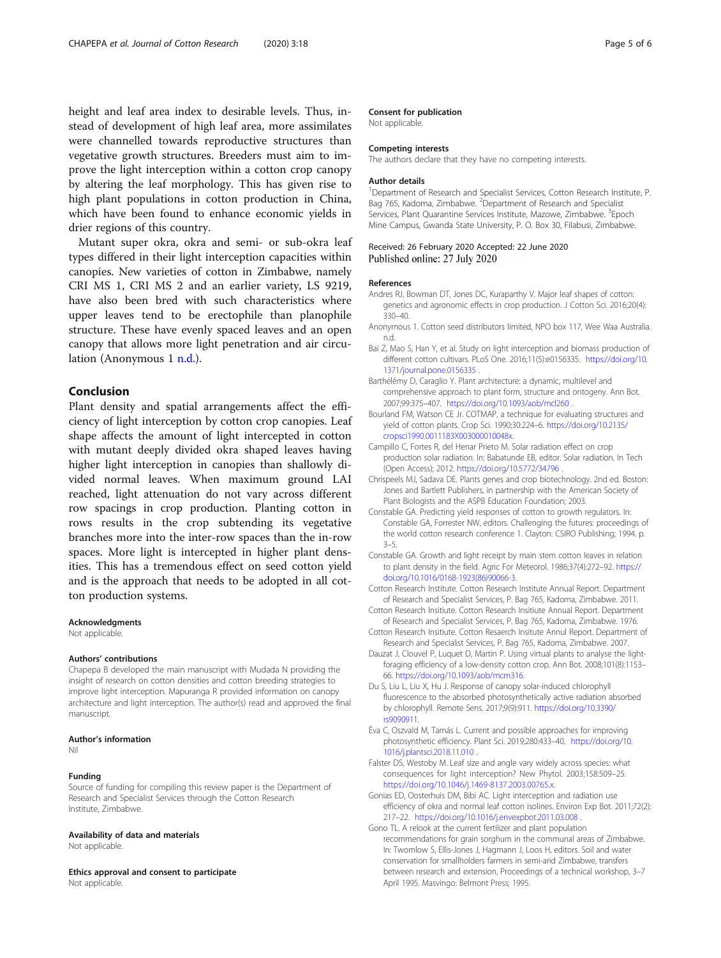<span id="page-4-0"></span>height and leaf area index to desirable levels. Thus, instead of development of high leaf area, more assimilates were channelled towards reproductive structures than vegetative growth structures. Breeders must aim to improve the light interception within a cotton crop canopy by altering the leaf morphology. This has given rise to high plant populations in cotton production in China, which have been found to enhance economic yields in drier regions of this country.

Mutant super okra, okra and semi- or sub-okra leaf types differed in their light interception capacities within canopies. New varieties of cotton in Zimbabwe, namely CRI MS 1, CRI MS 2 and an earlier variety, LS 9219, have also been bred with such characteristics where upper leaves tend to be erectophile than planophile structure. These have evenly spaced leaves and an open canopy that allows more light penetration and air circulation (Anonymous 1 n.d.).

### Conclusion

Plant density and spatial arrangements affect the efficiency of light interception by cotton crop canopies. Leaf shape affects the amount of light intercepted in cotton with mutant deeply divided okra shaped leaves having higher light interception in canopies than shallowly divided normal leaves. When maximum ground LAI reached, light attenuation do not vary across different row spacings in crop production. Planting cotton in rows results in the crop subtending its vegetative branches more into the inter-row spaces than the in-row spaces. More light is intercepted in higher plant densities. This has a tremendous effect on seed cotton yield and is the approach that needs to be adopted in all cotton production systems.

#### Acknowledgments

Not applicable.

#### Authors' contributions

Chapepa B developed the main manuscript with Mudada N providing the insight of research on cotton densities and cotton breeding strategies to improve light interception. Mapuranga R provided information on canopy architecture and light interception. The author(s) read and approved the final manuscript.

#### Author's information

Nil

#### Funding

Source of funding for compiling this review paper is the Department of Research and Specialist Services through the Cotton Research Institute, Zimbabwe.

#### Availability of data and materials

Not applicable.

Ethics approval and consent to participate Not applicable.

#### Consent for publication

Not applicable.

#### Competing interests

The authors declare that they have no competing interests.

#### Author details

<sup>1</sup>Department of Research and Specialist Services, Cotton Research Institute, P. Bag 765, Kadoma, Zimbabwe. <sup>2</sup>Department of Research and Specialist Services, Plant Quarantine Services Institute, Mazowe, Zimbabwe. <sup>3</sup>Epoch Mine Campus, Gwanda State University, P. O. Box 30, Filabusi, Zimbabwe.

#### Received: 26 February 2020 Accepted: 22 June 2020 Published online: 27 July 2020

#### References

- Andres RJ, Bowman DT, Jones DC, Kuraparthy V. Major leaf shapes of cotton: genetics and agronomic effects in crop production. J Cotton Sci. 2016;20(4): 330–40.
- Anonymous 1. Cotton seed distributors limited, NPO box 117, Wee Waa Australia. n.d.
- Bai Z, Mao S, Han Y, et al. Study on light interception and biomass production of different cotton cultivars. PLoS One. 2016;11(5):e0156335. [https://doi.org/10.](https://doi.org/10.1371/journal.pone.0156335) [1371/journal.pone.0156335](https://doi.org/10.1371/journal.pone.0156335) .
- Barthélémy D, Caraglio Y. Plant architecture: a dynamic, multilevel and comprehensive approach to plant form, structure and ontogeny. Ann Bot. 2007;99:375–407. <https://doi.org/10.1093/aob/mcl260> .
- Bourland FM, Watson CE Jr. COTMAP, a technique for evaluating structures and yield of cotton plants. Crop Sci. 1990;30:224–6. [https://doi.org/10.2135/](https://doi.org/10.2135/cropsci1990.0011183X003000010048x) [cropsci1990.0011183X003000010048x](https://doi.org/10.2135/cropsci1990.0011183X003000010048x).
- Campillo C, Fortes R, del Henar Prieto M. Solar radiation effect on crop production solar radiation. In: Babatunde EB, editor. Solar radiation. In Tech (Open Access); 2012. <https://doi.org/10.5772/34796> .
- Chrispeels MJ, Sadava DE. Plants genes and crop biotechnology. 2nd ed. Boston: Jones and Bartlett Publishers, in partnership with the American Society of Plant Biologists and the ASPB Education Foundation; 2003.
- Constable GA. Predicting yield responses of cotton to growth regulators. In: Constable GA, Forrester NW, editors. Challenging the futures: proceedings of the world cotton research conference 1. Clayton: CSIRO Publishing; 1994. p. 3–5.
- Constable GA. Growth and light receipt by main stem cotton leaves in relation to plant density in the field. Agric For Meteorol. 1986;37(4):272–92. [https://](https://doi.org/10.1016/0168-1923(86)90066-3) [doi.org/10.1016/0168-1923\(86\)90066-3.](https://doi.org/10.1016/0168-1923(86)90066-3)
- Cotton Research Institute. Cotton Research Institute Annual Report. Department of Research and Specialist Services, P. Bag 765, Kadoma, Zimbabwe. 2011.
- Cotton Research Insitiute. Cotton Research Insitiute Annual Report. Department of Research and Specialist Services, P. Bag 765, Kadoma, Zimbabwe. 1976.
- Cotton Research Insitiute. Cotton Resaerch Insitute Annul Report. Department of Research and Specialist Services, P. Bag 765, Kadoma, Zimbabwe. 2007.
- Dauzat J, Clouvel P, Luquet D, Martin P. Using virtual plants to analyse the lightforaging efficiency of a low-density cotton crop. Ann Bot. 2008;101(8):1153– 66. <https://doi.org/10.1093/aob/mcm316>.
- Du S, Liu L, Liu X, Hu J. Response of canopy solar-induced chlorophyll fluorescence to the absorbed photosynthetically active radiation absorbed by chlorophyll. Remote Sens. 2017;9(9):911. [https://doi.org/10.3390/](https://doi.org/10.3390/rs9090911) [rs9090911](https://doi.org/10.3390/rs9090911).
- Éva C, Oszvald M, Tamás L. Current and possible approaches for improving photosynthetic efficiency. Plant Sci. 2019;280:433–40. [https://doi.org/10.](https://doi.org/10.1016/j.plantsci.2018.11.010) [1016/j.plantsci.2018.11.010](https://doi.org/10.1016/j.plantsci.2018.11.010) .
- Falster DS, Westoby M. Leaf size and angle vary widely across species: what consequences for light interception? New Phytol. 2003;158:509–25. [https://doi.org/10.1046/j.1469-8137.2003.00765.x.](https://doi.org/10.1046/j.1469-8137.2003.00765.x)
- Gonias ED, Oosterhuis DM, Bibi AC. Light interception and radiation use efficiency of okra and normal leaf cotton isolines. Environ Exp Bot. 2011;72(2): 217–22. <https://doi.org/10.1016/j.envexpbot.2011.03.008> .
- Gono TL. A relook at the current fertilizer and plant population recommendations for grain sorghum in the communal areas of Zimbabwe. In: Twomlow S, Ellis-Jones J, Hagmann J, Loos H, editors. Soil and water conservation for smallholders farmers in semi-arid Zimbabwe, transfers between research and extension, Proceedings of a technical workshop, 3–7 April 1995. Masvingo: Belmont Press; 1995.